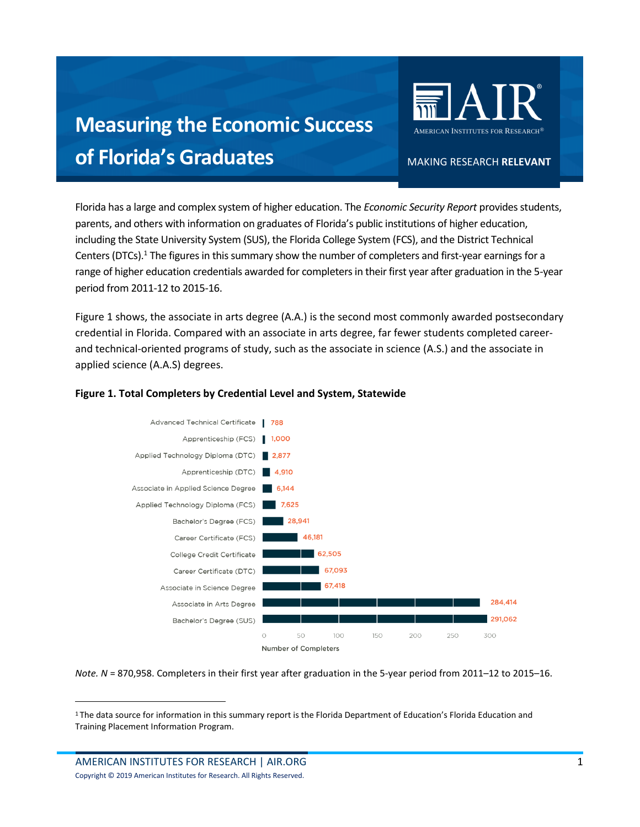## **Measuring the Economic Success of Florida's Graduates**

AMERICAN INSTITUTES FOR RESEARCH

MAKING RESEARCH **RELEVANT** 

 Florida has a large and complex system of higher education. The *Economic Security Report* provides students, parents, and others with information on graduates of Florida's public institutions of higher education, including the State University System (SUS), the Florida College System (FCS), and the District Technical Centers (DTCs).<sup>1</sup> The figures in this summary show the number of completers and first-year earnings for a range of higher education credentials awarded for completers in their first year after graduation in the 5-year period from 2011-12 to 2015-16.

 Figure 1 shows, the associate in arts degree (A.A.) is the second most commonly awarded postsecondary credential in Florida. Compared with an associate in arts degree, far fewer students completed career- and technical-oriented programs of study, such as the associate in science (A.S.) and the associate in applied science (A.A.S) degrees.



## **Figure 1. Total Completers by Credential Level and System, Statewide**

*Note. N* = 870,958. Completers in their first year after graduation in the 5-year period from 2011–12 to 2015–16.

<span id="page-0-0"></span><sup>&</sup>lt;sup>1</sup>The data source for information in this summary report is the Florida Department of Education's Florida Education and Training Placement Information Program.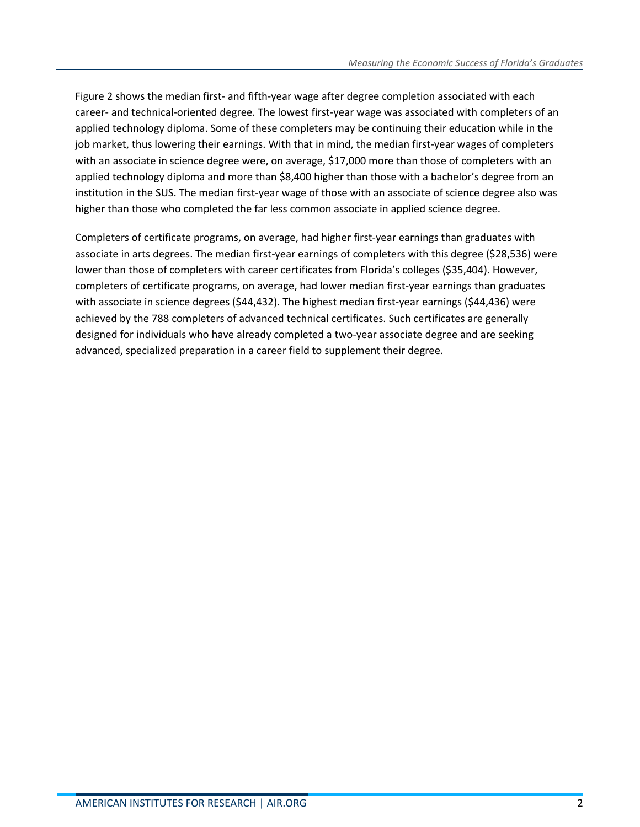Figure 2 shows the median first- and fifth-year wage after degree completion associated with each career- and technical-oriented degree. The lowest first-year wage was associated with completers of an applied technology diploma. Some of these completers may be continuing their education while in the job market, thus lowering their earnings. With that in mind, the median first-year wages of completers with an associate in science degree were, on average, \$17,000 more than those of completers with an applied technology diploma and more than \$8,400 higher than those with a bachelor's degree from an institution in the SUS. The median first-year wage of those with an associate of science degree also was higher than those who completed the far less common associate in applied science degree.

 Completers of certificate programs, on average, had higher first-year earnings than graduates with associate in arts degrees. The median first-year earnings of completers with this degree (\$28,536) were lower than those of completers with career certificates from Florida's colleges (\$35,404). However, completers of certificate programs, on average, had lower median first-year earnings than graduates with associate in science degrees (\$44,432). The highest median first-year earnings (\$44,436) were achieved by the 788 completers of advanced technical certificates. Such certificates are generally designed for individuals who have already completed a two-year associate degree and are seeking advanced, specialized preparation in a career field to supplement their degree.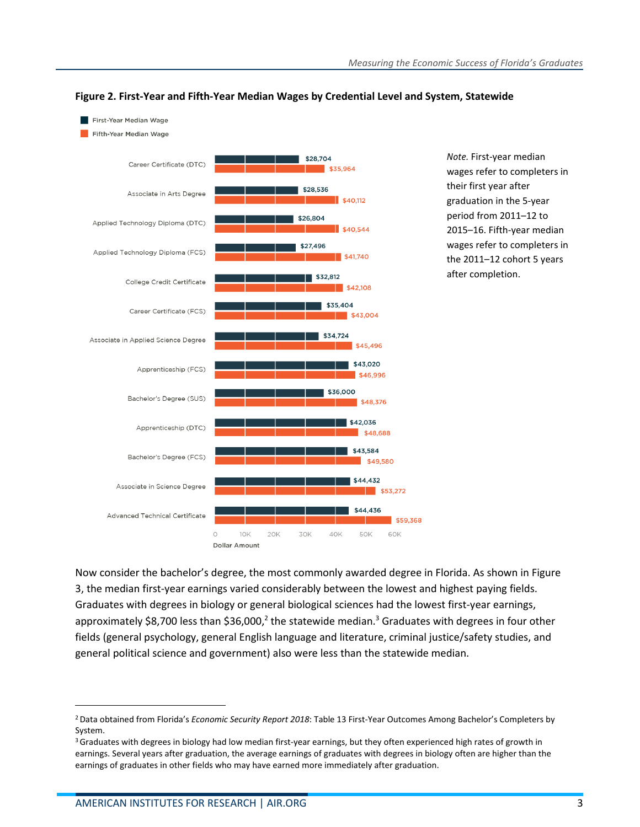

## **Figure 2. First-Year and Fifth-Year Median Wages by Credential Level and System, Statewide**

 wages refer to completers in their first year after graduation in the 5-year period from 2011–12 to 2015–16. Fifth-year median wages refer to completers in the 2011–12 cohort 5 years *Note.* First-year median after completion.

 Now consider the bachelor's degree, the most commonly awarded degree in Florida. As shown in Figure 3, the median first-year earnings varied considerably between the lowest and highest paying fields. Graduates with degrees in biology or ge[ne](#page-2-0)ral biological sciences [h](#page-2-1)ad the lowest first-year earnings, approximately \$8,700 less than \$36,000,<sup>2</sup> the statewide median.<sup>3</sup> Graduates with degrees in four other fields (general psychology, general English language and literature, criminal justice/safety studies, and general political science and government) also were less than the statewide median.

<span id="page-2-0"></span> 2 Data obtained from Florida's *Economic Security Report 2018*: Table 13 First-Year Outcomes Among Bachelor's Completers by System.

<span id="page-2-1"></span><sup>&</sup>lt;sup>3</sup> Graduates with degrees in biology had low median first-year earnings, but they often experienced high rates of growth in earnings. Several years after graduation, the average earnings of graduates with degrees in biology often are higher than the earnings of graduates in other fields who may have earned more immediately after graduation.